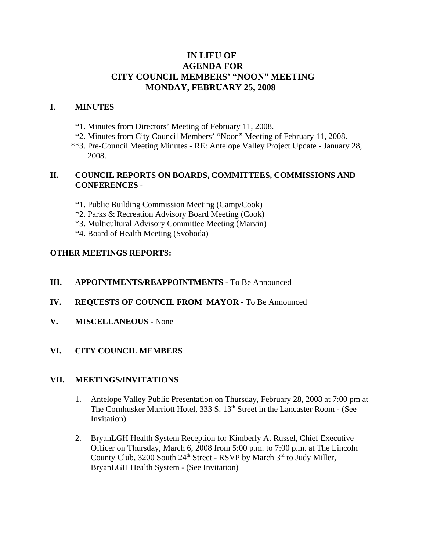# **IN LIEU OF AGENDA FOR CITY COUNCIL MEMBERS' "NOON" MEETING MONDAY, FEBRUARY 25, 2008**

## **I. MINUTES**

- \*1. Minutes from Directors' Meeting of February 11, 2008.
- \*2. Minutes from City Council Members' "Noon" Meeting of February 11, 2008.
- \*\*3. Pre-Council Meeting Minutes RE: Antelope Valley Project Update January 28, 2008.

### **II. COUNCIL REPORTS ON BOARDS, COMMITTEES, COMMISSIONS AND CONFERENCES** -

- \*1. Public Building Commission Meeting (Camp/Cook)
- \*2. Parks & Recreation Advisory Board Meeting (Cook)
- \*3. Multicultural Advisory Committee Meeting (Marvin)
- \*4. Board of Health Meeting (Svoboda)

### **OTHER MEETINGS REPORTS:**

## **III.** APPOINTMENTS/REAPPOINTMENTS - To Be Announced

- **IV. REQUESTS OF COUNCIL FROM MAYOR -** To Be Announced
- **V. MISCELLANEOUS -** None

## **VI. CITY COUNCIL MEMBERS**

#### **VII. MEETINGS/INVITATIONS**

- 1. Antelope Valley Public Presentation on Thursday, February 28, 2008 at 7:00 pm at The Cornhusker Marriott Hotel, 333 S. 13<sup>th</sup> Street in the Lancaster Room - (See Invitation)
- 2. BryanLGH Health System Reception for Kimberly A. Russel, Chief Executive Officer on Thursday, March 6, 2008 from 5:00 p.m. to 7:00 p.m. at The Lincoln County Club, 3200 South  $24<sup>th</sup>$  Street - RSVP by March  $3<sup>rd</sup>$  to Judy Miller, BryanLGH Health System - (See Invitation)